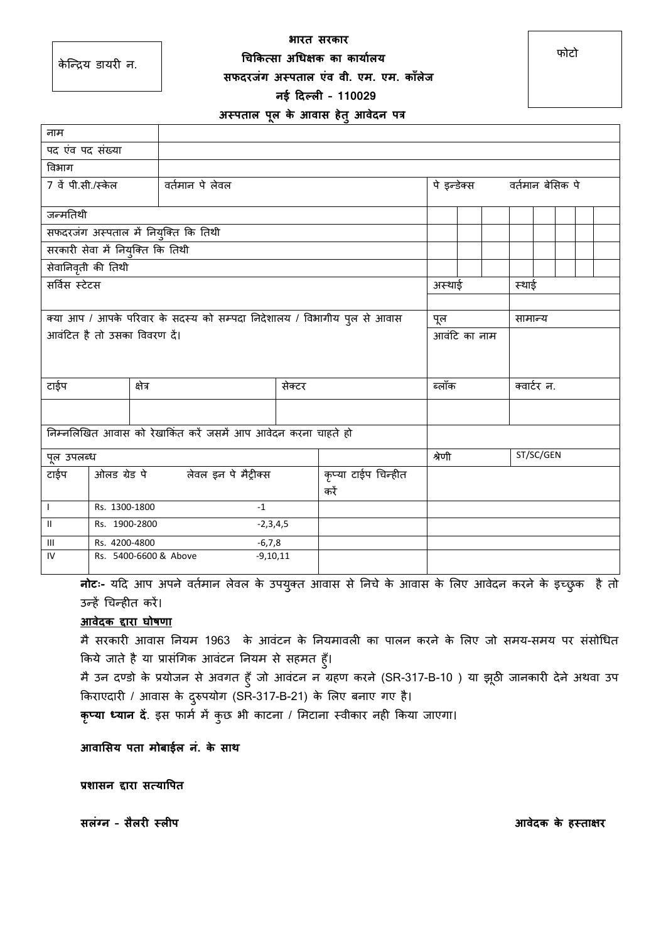**भारत सरकार चिककत्सा अचिक्षक का कार्ाालर्** 

के क्न्िय डायरी न.

# **सफदरजंग अस्पताल एंव वी. एम. एम. कााँलेज**

### **नई ददल्ली – 110029**

### **अस्पताल पूल के आवास हेतुआवेदन पत्र**

| नाम                                                                     |                                     |                                                               |        |                     |              |                              |           |             |  |  |  |
|-------------------------------------------------------------------------|-------------------------------------|---------------------------------------------------------------|--------|---------------------|--------------|------------------------------|-----------|-------------|--|--|--|
| पद एंव पद संख्या                                                        |                                     |                                                               |        |                     |              |                              |           |             |  |  |  |
| विभाग                                                                   |                                     |                                                               |        |                     |              |                              |           |             |  |  |  |
| 7 वें पी.सी./स्केल                                                      | वर्तमान पे लेवल                     |                                                               |        |                     |              | पे इन्डेक्स वर्तमान बेसिक पे |           |             |  |  |  |
|                                                                         |                                     |                                                               |        |                     |              |                              |           |             |  |  |  |
| जन्मतिथी                                                                |                                     |                                                               |        |                     |              |                              |           |             |  |  |  |
| सफदरजंग अस्पताल में नियुक्ति कि तिथी                                    |                                     |                                                               |        |                     |              |                              |           |             |  |  |  |
| सरकारी सेवा में नियुक्ति कि तिथी                                        |                                     |                                                               |        |                     |              |                              |           |             |  |  |  |
| सेवानिवृती की तिथी                                                      |                                     |                                                               |        |                     |              |                              |           |             |  |  |  |
| सर्विस स्टेटस                                                           |                                     |                                                               |        |                     | अस्थाई       |                              | स्थाई     |             |  |  |  |
|                                                                         |                                     |                                                               |        |                     |              |                              |           |             |  |  |  |
| क्या आप / आपके परिवार के सदस्य को सम्पदा निदेशालय / विभागीय पुल से आवास |                                     |                                                               |        |                     | पूल          |                              | सामान्य   |             |  |  |  |
| आवंटित है तो उसका विवरण दें।                                            |                                     |                                                               |        |                     | आवंटि का नाम |                              |           |             |  |  |  |
|                                                                         |                                     |                                                               |        |                     |              |                              |           |             |  |  |  |
|                                                                         |                                     |                                                               |        |                     |              |                              |           |             |  |  |  |
| टाईप                                                                    |                                     | क्षेत्र                                                       | सेक्टर |                     |              | ब्लॉक                        |           | क्वार्टर न. |  |  |  |
|                                                                         |                                     |                                                               |        |                     |              |                              |           |             |  |  |  |
|                                                                         |                                     |                                                               |        |                     |              |                              |           |             |  |  |  |
|                                                                         |                                     | निम्नलिखित आवास को रेखाकिंत करें जसमें आप आवेदन करना चाहते हो |        |                     |              |                              |           |             |  |  |  |
| पूल उपलब्ध                                                              |                                     |                                                               |        |                     | श्रेणी       |                              | ST/SC/GEN |             |  |  |  |
| टाईप                                                                    | ओलड ग्रेड पे लेवल इन पे मैट्रीक्स   |                                                               |        | कृप्या टाईप चिन्हीत |              |                              |           |             |  |  |  |
|                                                                         |                                     |                                                               |        | करें                |              |                              |           |             |  |  |  |
| $\mathbf{I}$                                                            | Rs. 1300-1800                       |                                                               |        |                     |              |                              |           |             |  |  |  |
| $\mathbf{H}$                                                            | Rs. 1900-2800<br>$-2,3,4,5$         |                                                               |        |                     |              |                              |           |             |  |  |  |
| Ш                                                                       | Rs. 4200-4800<br>$-6,7,8$           |                                                               |        |                     |              |                              |           |             |  |  |  |
| IV                                                                      | Rs. 5400-6600 & Above<br>$-9,10,11$ |                                                               |        |                     |              |                              |           |             |  |  |  |

**नोटः-** यदि आप अपने वर्तमान लेवल के उपयुक्त आवास से निचे के आवास के लिए आवेदन करने के इच्छुक है तो उन्हें चचन्हीर् करें।

# **आवेदक द्दारा घोषणा**

मै सरकारी आवास नियम 1963 के आवंटन के नियमावली का पालन करने के लिए जो समय-समय पर संसोधित किये जाते है या प्रासंगिक आवंटन नियम से सहमत हूँ।

मै उन दण्डो के प्रयोजन से अवगर् हुाँजो आवंटन न ग्रहण करने (SR-317-B-10 ) या झूठी जानकारी देने अथवा उप ककराएदारी / आवास के दरुुपयोग (SR-317-B-21) के सलए बनाए गए है।

**कृप्र्ा ध्र्ान दें**. इस फामत में कुछ भी काटना / समटाना स्वीकार नही ककया जाएगा।

**आवाससर् पता मोबाईल नं. के साथ** 

**प्रशासन द्दारा सत्र्ापपत** 

**सलंग्न – सैलरी स्लीप आवेदक के हस्ताक्षर**